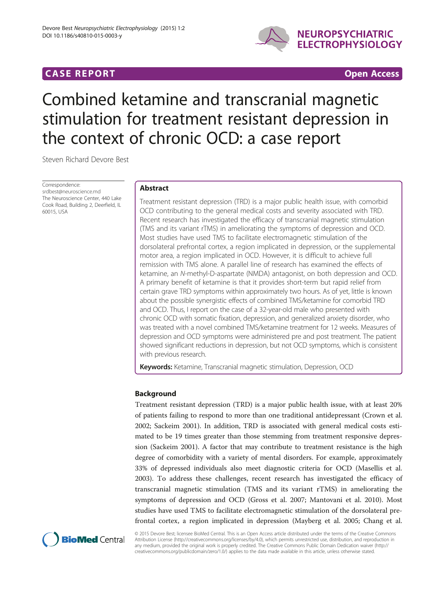# **CASE REPORT CASE REPORT CASE REPORT**



# Combined ketamine and transcranial magnetic stimulation for treatment resistant depression in the context of chronic OCD: a case report

Steven Richard Devore Best

Correspondence: [srdbest@neuroscience.md](mailto:srdbest@neuroscience.md) The Neuroscience Center, 440 Lake Cook Road, Building 2, Deerfield, IL 60015, USA

# Abstract

Treatment resistant depression (TRD) is a major public health issue, with comorbid OCD contributing to the general medical costs and severity associated with TRD. Recent research has investigated the efficacy of transcranial magnetic stimulation (TMS and its variant rTMS) in ameliorating the symptoms of depression and OCD. Most studies have used TMS to facilitate electromagnetic stimulation of the dorsolateral prefrontal cortex, a region implicated in depression, or the supplemental motor area, a region implicated in OCD. However, it is difficult to achieve full remission with TMS alone. A parallel line of research has examined the effects of ketamine, an N-methyl-D-aspartate (NMDA) antagonist, on both depression and OCD. A primary benefit of ketamine is that it provides short-term but rapid relief from certain grave TRD symptoms within approximately two hours. As of yet, little is known about the possible synergistic effects of combined TMS/ketamine for comorbid TRD and OCD. Thus, I report on the case of a 32-year-old male who presented with chronic OCD with somatic fixation, depression, and generalized anxiety disorder, who was treated with a novel combined TMS/ketamine treatment for 12 weeks. Measures of depression and OCD symptoms were administered pre and post treatment. The patient showed significant reductions in depression, but not OCD symptoms, which is consistent with previous research.

Keywords: Ketamine, Transcranial magnetic stimulation, Depression, OCD

# Background

Treatment resistant depression (TRD) is a major public health issue, with at least 20% of patients failing to respond to more than one traditional antidepressant (Crown et al. [2002](#page-3-0); Sackeim [2001](#page-3-0)). In addition, TRD is associated with general medical costs estimated to be 19 times greater than those stemming from treatment responsive depression (Sackeim [2001\)](#page-3-0). A factor that may contribute to treatment resistance is the high degree of comorbidity with a variety of mental disorders. For example, approximately 33% of depressed individuals also meet diagnostic criteria for OCD (Masellis et al. [2003](#page-3-0)). To address these challenges, recent research has investigated the efficacy of transcranial magnetic stimulation (TMS and its variant rTMS) in ameliorating the symptoms of depression and OCD (Gross et al. [2007](#page-3-0); Mantovani et al. [2010\)](#page-3-0). Most studies have used TMS to facilitate electromagnetic stimulation of the dorsolateral prefrontal cortex, a region implicated in depression (Mayberg et al. [2005;](#page-3-0) Chang et al.



© 2015 Devore Best; licensee BioMed Central. This is an Open Access article distributed under the terms of the Creative Commons Attribution License (<http://creativecommons.org/licenses/by/4.0>), which permits unrestricted use, distribution, and reproduction in any medium, provided the original work is properly credited. The Creative Commons Public Domain Dedication waiver [\(http://](http://creativecommons.org/publicdomain/zero/1.0/) [creativecommons.org/publicdomain/zero/1.0/\)](http://creativecommons.org/publicdomain/zero/1.0/) applies to the data made available in this article, unless otherwise stated.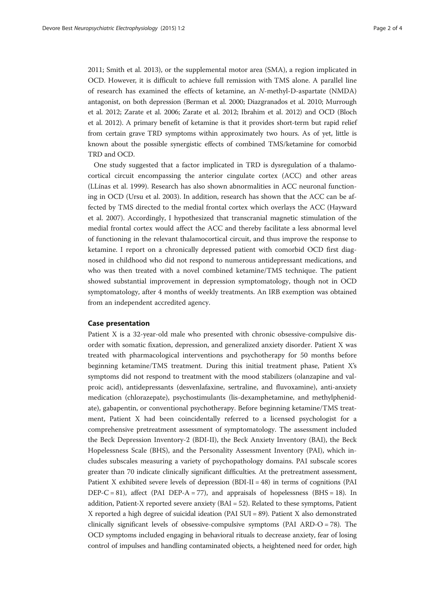[2011](#page-3-0); Smith et al. [2013](#page-3-0)), or the supplemental motor area (SMA), a region implicated in OCD. However, it is difficult to achieve full remission with TMS alone. A parallel line of research has examined the effects of ketamine, an N-methyl-D-aspartate (NMDA) antagonist, on both depression (Berman et al. [2000;](#page-3-0) Diazgranados et al. [2010;](#page-3-0) Murrough et al. [2012;](#page-3-0) Zarate et al. [2006;](#page-3-0) Zarate et al. [2012](#page-3-0); Ibrahim et al. [2012](#page-3-0)) and OCD (Bloch et al. [2012\)](#page-3-0). A primary benefit of ketamine is that it provides short-term but rapid relief from certain grave TRD symptoms within approximately two hours. As of yet, little is known about the possible synergistic effects of combined TMS/ketamine for comorbid TRD and OCD.

One study suggested that a factor implicated in TRD is dysregulation of a thalamocortical circuit encompassing the anterior cingulate cortex (ACC) and other areas (LLínas et al. [1999\)](#page-3-0). Research has also shown abnormalities in ACC neuronal functioning in OCD (Ursu et al. [2003](#page-3-0)). In addition, research has shown that the ACC can be affected by TMS directed to the medial frontal cortex which overlays the ACC (Hayward et al. [2007\)](#page-3-0). Accordingly, I hypothesized that transcranial magnetic stimulation of the medial frontal cortex would affect the ACC and thereby facilitate a less abnormal level of functioning in the relevant thalamocortical circuit, and thus improve the response to ketamine. I report on a chronically depressed patient with comorbid OCD first diagnosed in childhood who did not respond to numerous antidepressant medications, and who was then treated with a novel combined ketamine/TMS technique. The patient showed substantial improvement in depression symptomatology, though not in OCD symptomatology, after 4 months of weekly treatments. An IRB exemption was obtained from an independent accredited agency.

#### Case presentation

Patient X is a 32-year-old male who presented with chronic obsessive-compulsive disorder with somatic fixation, depression, and generalized anxiety disorder. Patient X was treated with pharmacological interventions and psychotherapy for 50 months before beginning ketamine/TMS treatment. During this initial treatment phase, Patient X's symptoms did not respond to treatment with the mood stabilizers (olanzapine and valproic acid), antidepressants (desvenlafaxine, sertraline, and fluvoxamine), anti-anxiety medication (chlorazepate), psychostimulants (lis-dexamphetamine, and methylphenidate), gabapentin, or conventional psychotherapy. Before beginning ketamine/TMS treatment, Patient X had been coincidentally referred to a licensed psychologist for a comprehensive pretreatment assessment of symptomatology. The assessment included the Beck Depression Inventory-2 (BDI-II), the Beck Anxiety Inventory (BAI), the Beck Hopelessness Scale (BHS), and the Personality Assessment Inventory (PAI), which includes subscales measuring a variety of psychopathology domains. PAI subscale scores greater than 70 indicate clinically significant difficulties. At the pretreatment assessment, Patient X exhibited severe levels of depression (BDI-II = 48) in terms of cognitions (PAI DEP-C = 81), affect (PAI DEP-A = 77), and appraisals of hopelessness (BHS = 18). In addition, Patient-X reported severe anxiety (BAI = 52). Related to these symptoms, Patient  $X$  reported a high degree of suicidal ideation (PAI SUI = 89). Patient  $X$  also demonstrated clinically significant levels of obsessive-compulsive symptoms (PAI ARD-O = 78). The OCD symptoms included engaging in behavioral rituals to decrease anxiety, fear of losing control of impulses and handling contaminated objects, a heightened need for order, high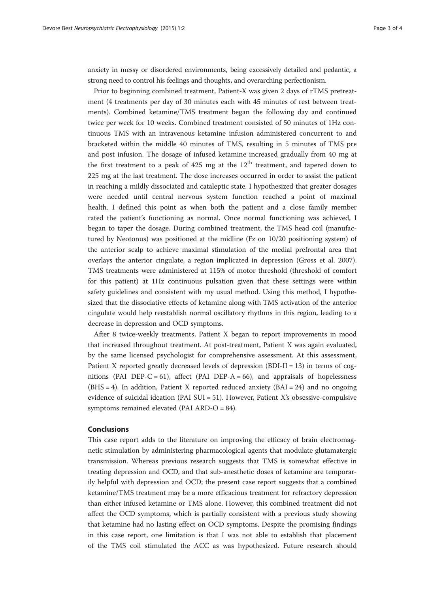anxiety in messy or disordered environments, being excessively detailed and pedantic, a strong need to control his feelings and thoughts, and overarching perfectionism.

Prior to beginning combined treatment, Patient-X was given 2 days of rTMS pretreatment (4 treatments per day of 30 minutes each with 45 minutes of rest between treatments). Combined ketamine/TMS treatment began the following day and continued twice per week for 10 weeks. Combined treatment consisted of 50 minutes of 1Hz continuous TMS with an intravenous ketamine infusion administered concurrent to and bracketed within the middle 40 minutes of TMS, resulting in 5 minutes of TMS pre and post infusion. The dosage of infused ketamine increased gradually from 40 mg at the first treatment to a peak of 425 mg at the  $12<sup>th</sup>$  treatment, and tapered down to 225 mg at the last treatment. The dose increases occurred in order to assist the patient in reaching a mildly dissociated and cataleptic state. I hypothesized that greater dosages were needed until central nervous system function reached a point of maximal health. I defined this point as when both the patient and a close family member rated the patient's functioning as normal. Once normal functioning was achieved, I began to taper the dosage. During combined treatment, the TMS head coil (manufactured by Neotonus) was positioned at the midline (Fz on 10/20 positioning system) of the anterior scalp to achieve maximal stimulation of the medial prefrontal area that overlays the anterior cingulate, a region implicated in depression (Gross et al. [2007](#page-3-0)). TMS treatments were administered at 115% of motor threshold (threshold of comfort for this patient) at 1Hz continuous pulsation given that these settings were within safety guidelines and consistent with my usual method. Using this method, I hypothesized that the dissociative effects of ketamine along with TMS activation of the anterior cingulate would help reestablish normal oscillatory rhythms in this region, leading to a decrease in depression and OCD symptoms.

After 8 twice-weekly treatments, Patient X began to report improvements in mood that increased throughout treatment. At post-treatment, Patient X was again evaluated, by the same licensed psychologist for comprehensive assessment. At this assessment, Patient X reported greatly decreased levels of depression (BDI-II = 13) in terms of  $\cos$ nitions (PAI DEP-C = 61), affect (PAI DEP-A = 66), and appraisals of hopelessness  $(BHS = 4)$ . In addition, Patient X reported reduced anxiety  $(BAI = 24)$  and no ongoing evidence of suicidal ideation (PAI SUI = 51). However, Patient X's obsessive-compulsive symptoms remained elevated (PAI ARD-O = 84).

### Conclusions

This case report adds to the literature on improving the efficacy of brain electromagnetic stimulation by administering pharmacological agents that modulate glutamatergic transmission. Whereas previous research suggests that TMS is somewhat effective in treating depression and OCD, and that sub-anesthetic doses of ketamine are temporarily helpful with depression and OCD; the present case report suggests that a combined ketamine/TMS treatment may be a more efficacious treatment for refractory depression than either infused ketamine or TMS alone. However, this combined treatment did not affect the OCD symptoms, which is partially consistent with a previous study showing that ketamine had no lasting effect on OCD symptoms. Despite the promising findings in this case report, one limitation is that I was not able to establish that placement of the TMS coil stimulated the ACC as was hypothesized. Future research should